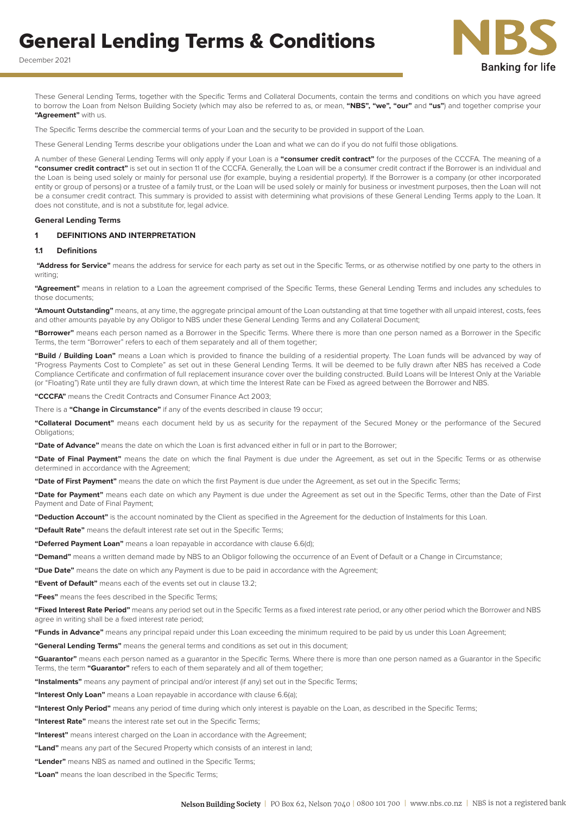# General Lending Terms & Conditions

December 2021



These General Lending Terms, together with the Specific Terms and Collateral Documents, contain the terms and conditions on which you have agreed to borrow the Loan from Nelson Building Society (which may also be referred to as, or mean, **"NBS", "we", "our"** and **"us"**) and together comprise your **"Agreement"** with us.

The Specific Terms describe the commercial terms of your Loan and the security to be provided in support of the Loan.

These General Lending Terms describe your obligations under the Loan and what we can do if you do not fulfil those obligations.

A number of these General Lending Terms will only apply if your Loan is a **"consumer credit contract"** for the purposes of the CCCFA. The meaning of a **"consumer credit contract"** is set out in section 11 of the CCCFA. Generally, the Loan will be a consumer credit contract if the Borrower is an individual and the Loan is being used solely or mainly for personal use (for example, buying a residential property). If the Borrower is a company (or other incorporated entity or group of persons) or a trustee of a family trust, or the Loan will be used solely or mainly for business or investment purposes, then the Loan will not be a consumer credit contract. This summary is provided to assist with determining what provisions of these General Lending Terms apply to the Loan. It does not constitute, and is not a substitute for, legal advice.

#### **General Lending Terms**

#### **1 DEFINITIONS AND INTERPRETATION**

#### **1.1 Definitions**

 **"Address for Service"** means the address for service for each party as set out in the Specific Terms, or as otherwise notified by one party to the others in writing

**"Agreement"** means in relation to a Loan the agreement comprised of the Specific Terms, these General Lending Terms and includes any schedules to those documents;

**"Amount Outstanding"** means, at any time, the aggregate principal amount of the Loan outstanding at that time together with all unpaid interest, costs, fees and other amounts payable by any Obligor to NBS under these General Lending Terms and any Collateral Document;

**"Borrower"** means each person named as a Borrower in the Specific Terms. Where there is more than one person named as a Borrower in the Specific Terms, the term "Borrower" refers to each of them separately and all of them together;

**"Build / Building Loan"** means a Loan which is provided to finance the building of a residential property. The Loan funds will be advanced by way of "Progress Payments Cost to Complete" as set out in these General Lending Terms. It will be deemed to be fully drawn after NBS has received a Code Compliance Certificate and confirmation of full replacement insurance cover over the building constructed. Build Loans will be Interest Only at the Variable (or "Floating") Rate until they are fully drawn down, at which time the Interest Rate can be Fixed as agreed between the Borrower and NBS.

**"CCCFA"** means the Credit Contracts and Consumer Finance Act 2003;

There is a **"Change in Circumstance"** if any of the events described in clause 19 occur;

**"Collateral Document"** means each document held by us as security for the repayment of the Secured Money or the performance of the Secured Obligations;

**"Date of Advance"** means the date on which the Loan is first advanced either in full or in part to the Borrower;

**"Date of Final Payment"** means the date on which the final Payment is due under the Agreement, as set out in the Specific Terms or as otherwise determined in accordance with the Agreement;

**"Date of First Payment"** means the date on which the first Payment is due under the Agreement, as set out in the Specific Terms;

**"Date for Payment"** means each date on which any Payment is due under the Agreement as set out in the Specific Terms, other than the Date of First Payment and Date of Final Payment;

**"Deduction Account"** is the account nominated by the Client as specified in the Agreement for the deduction of Instalments for this Loan.

**"Default Rate"** means the default interest rate set out in the Specific Terms;

**"Deferred Payment Loan"** means a loan repayable in accordance with clause 6.6(d);

**"Demand"** means a written demand made by NBS to an Obligor following the occurrence of an Event of Default or a Change in Circumstance;

**"Due Date"** means the date on which any Payment is due to be paid in accordance with the Agreement;

**"Event of Default"** means each of the events set out in clause 13.2;

**"Fees"** means the fees described in the Specific Terms;

**"Fixed Interest Rate Period"** means any period set out in the Specific Terms as a fixed interest rate period, or any other period which the Borrower and NBS agree in writing shall be a fixed interest rate period;

**"Funds in Advance"** means any principal repaid under this Loan exceeding the minimum required to be paid by us under this Loan Agreement;

**"General Lending Terms"** means the general terms and conditions as set out in this document;

**"Guarantor"** means each person named as a guarantor in the Specific Terms. Where there is more than one person named as a Guarantor in the Specific Terms, the term **"Guarantor"** refers to each of them separately and all of them together;

**"Instalments"** means any payment of principal and/or interest (if any) set out in the Specific Terms;

**"Interest Only Loan"** means a Loan repayable in accordance with clause 6.6(a);

**"Interest Only Period"** means any period of time during which only interest is payable on the Loan, as described in the Specific Terms;

**"Interest Rate"** means the interest rate set out in the Specific Terms;

**"Interest"** means interest charged on the Loan in accordance with the Agreement;

**"Land"** means any part of the Secured Property which consists of an interest in land;

**"Lender"** means NBS as named and outlined in the Specific Terms;

**"Loan"** means the loan described in the Specific Terms;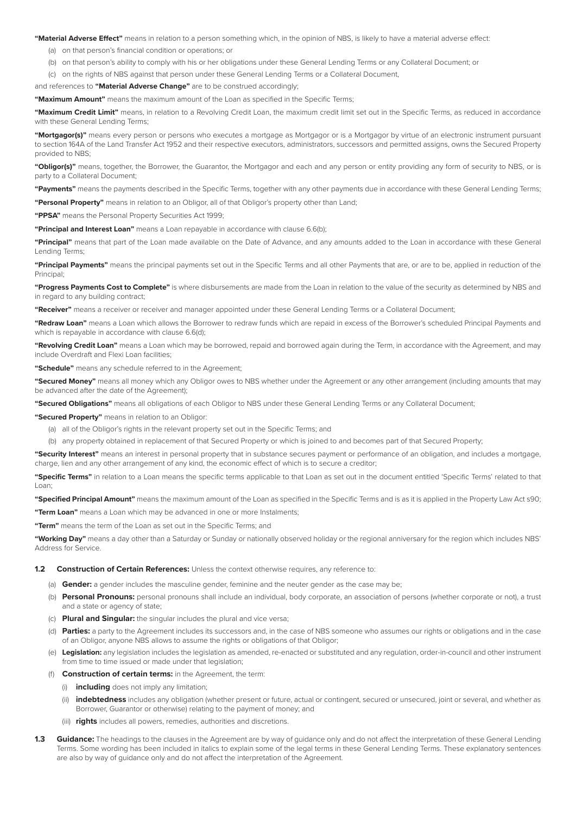**"Material Adverse Effect"** means in relation to a person something which, in the opinion of NBS, is likely to have a material adverse effect:

- (a) on that person's financial condition or operations; or
- (b) on that person's ability to comply with his or her obligations under these General Lending Terms or any Collateral Document; or
- (c) on the rights of NBS against that person under these General Lending Terms or a Collateral Document,

and references to **"Material Adverse Change"** are to be construed accordingly;

**"Maximum Amount"** means the maximum amount of the Loan as specified in the Specific Terms;

**"Maximum Credit Limit"** means, in relation to a Revolving Credit Loan, the maximum credit limit set out in the Specific Terms, as reduced in accordance with these General Lending Terms;

**"Mortgagor(s)"** means every person or persons who executes a mortgage as Mortgagor or is a Mortgagor by virtue of an electronic instrument pursuant to section 164A of the Land Transfer Act 1952 and their respective executors, administrators, successors and permitted assigns, owns the Secured Property provided to NBS;

**"Obligor(s)"** means, together, the Borrower, the Guarantor, the Mortgagor and each and any person or entity providing any form of security to NBS, or is party to a Collateral Document;

**"Payments"** means the payments described in the Specific Terms, together with any other payments due in accordance with these General Lending Terms;

**"Personal Property"** means in relation to an Obligor, all of that Obligor's property other than Land;

**"PPSA"** means the Personal Property Securities Act 1999;

**"Principal and Interest Loan"** means a Loan repayable in accordance with clause 6.6(b);

**"Principal"** means that part of the Loan made available on the Date of Advance, and any amounts added to the Loan in accordance with these General Lending Terms;

**"Principal Payments"** means the principal payments set out in the Specific Terms and all other Payments that are, or are to be, applied in reduction of the **Principal**;

**"Progress Payments Cost to Complete"** is where disbursements are made from the Loan in relation to the value of the security as determined by NBS and in regard to any building contract:

**"Receiver"** means a receiver or receiver and manager appointed under these General Lending Terms or a Collateral Document;

**"Redraw Loan"** means a Loan which allows the Borrower to redraw funds which are repaid in excess of the Borrower's scheduled Principal Payments and which is repayable in accordance with clause 6.6(d);

**"Revolving Credit Loan"** means a Loan which may be borrowed, repaid and borrowed again during the Term, in accordance with the Agreement, and may include Overdraft and Flexi Loan facilities;

**"Schedule"** means any schedule referred to in the Agreement;

**"Secured Money"** means all money which any Obligor owes to NBS whether under the Agreement or any other arrangement (including amounts that may be advanced after the date of the Agreement);

**"Secured Obligations"** means all obligations of each Obligor to NBS under these General Lending Terms or any Collateral Document;

**"Secured Property"** means in relation to an Obligor:

- (a) all of the Obligor's rights in the relevant property set out in the Specific Terms; and
- (b) any property obtained in replacement of that Secured Property or which is joined to and becomes part of that Secured Property;

**"Security Interest"** means an interest in personal property that in substance secures payment or performance of an obligation, and includes a mortgage, charge, lien and any other arrangement of any kind, the economic effect of which is to secure a creditor;

**"Specific Terms"** in relation to a Loan means the specific terms applicable to that Loan as set out in the document entitled 'Specific Terms' related to that Loan;

**"Specified Principal Amount"** means the maximum amount of the Loan as specified in the Specific Terms and is as it is applied in the Property Law Act s90;

**"Term Loan"** means a Loan which may be advanced in one or more Instalments;

**"Term"** means the term of the Loan as set out in the Specific Terms; and

**"Working Day"** means a day other than a Saturday or Sunday or nationally observed holiday or the regional anniversary for the region which includes NBS' Address for Service.

**1.2 Construction of Certain References:** Unless the context otherwise requires, any reference to:

- (a) **Gender:** a gender includes the masculine gender, feminine and the neuter gender as the case may be;
- (b) **Personal Pronouns:** personal pronouns shall include an individual, body corporate, an association of persons (whether corporate or not), a trust and a state or agency of state;
- (c) **Plural and Singular:** the singular includes the plural and vice versa;
- (d) **Parties:** a party to the Agreement includes its successors and, in the case of NBS someone who assumes our rights or obligations and in the case of an Obligor, anyone NBS allows to assume the rights or obligations of that Obligor;
- (e) **Legislation:** any legislation includes the legislation as amended, re-enacted or substituted and any regulation, order-in-council and other instrument from time to time issued or made under that legislation;
- (f) **Construction of certain terms:** in the Agreement, the term:
	- (i) **including** does not imply any limitation;
	- (ii) **indebtedness** includes any obligation (whether present or future, actual or contingent, secured or unsecured, joint or several, and whether as Borrower, Guarantor or otherwise) relating to the payment of money; and
	- (iii) **rights** includes all powers, remedies, authorities and discretions.
- **1.3 Guidance:** The headings to the clauses in the Agreement are by way of guidance only and do not affect the interpretation of these General Lending Terms. Some wording has been included in italics to explain some of the legal terms in these General Lending Terms. These explanatory sentences are also by way of guidance only and do not affect the interpretation of the Agreement.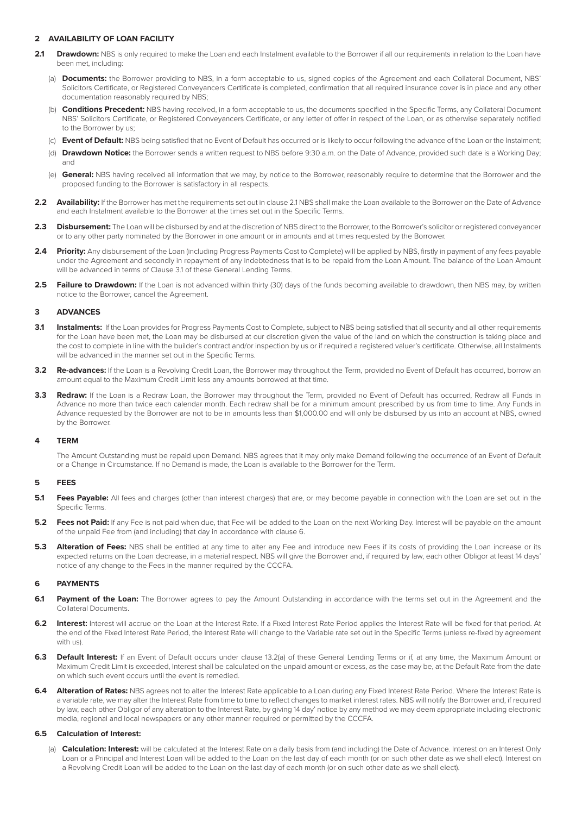# **2 AVAILABILITY OF LOAN FACILITY**

- 2.1 **Drawdown:** NBS is only required to make the Loan and each Instalment available to the Borrower if all our requirements in relation to the Loan have been met, including:
	- (a) **Documents:** the Borrower providing to NBS, in a form acceptable to us, signed copies of the Agreement and each Collateral Document, NBS' Solicitors Certificate, or Registered Conveyancers Certificate is completed, confirmation that all required insurance cover is in place and any other documentation reasonably required by NBS;
	- (b) **Conditions Precedent:** NBS having received, in a form acceptable to us, the documents specified in the Specific Terms, any Collateral Document NBS' Solicitors Certificate, or Registered Conveyancers Certificate, or any letter of offer in respect of the Loan, or as otherwise separately notified to the Borrower by us;
	- (c) **Event of Default:** NBS being satisfied that no Event of Default has occurred or is likely to occur following the advance of the Loan or the Instalment;
	- (d) **Drawdown Notice:** the Borrower sends a written request to NBS before 9:30 a.m. on the Date of Advance, provided such date is a Working Day; and
	- (e) **General:** NBS having received all information that we may, by notice to the Borrower, reasonably require to determine that the Borrower and the proposed funding to the Borrower is satisfactory in all respects.
- **2.2 Availability:** If the Borrower has met the requirements set out in clause 2.1 NBS shall make the Loan available to the Borrower on the Date of Advance and each Instalment available to the Borrower at the times set out in the Specific Terms.
- **2.3 Disbursement:** The Loan will be disbursed by and at the discretion of NBS direct to the Borrower, to the Borrower's solicitor or registered conveyancer or to any other party nominated by the Borrower in one amount or in amounts and at times requested by the Borrower.
- 2.4 **Priority:** Any disbursement of the Loan (including Progress Payments Cost to Complete) will be applied by NBS, firstly in payment of any fees payable under the Agreement and secondly in repayment of any indebtedness that is to be repaid from the Loan Amount. The balance of the Loan Amount will be advanced in terms of Clause 3.1 of these General Lending Terms.
- 2.5 **Failure to Drawdown:** If the Loan is not advanced within thirty (30) days of the funds becoming available to drawdown, then NBS may, by written notice to the Borrower, cancel the Agreement.

## **3 ADVANCES**

- **3.1 Instalments:** If the Loan provides for Progress Payments Cost to Complete, subject to NBS being satisfied that all security and all other requirements for the Loan have been met, the Loan may be disbursed at our discretion given the value of the land on which the construction is taking place and the cost to complete in line with the builder's contract and/or inspection by us or if required a registered valuer's certificate. Otherwise, all Instalments will be advanced in the manner set out in the Specific Terms.
- **3.2 Re-advances:** If the Loan is a Revolving Credit Loan, the Borrower may throughout the Term, provided no Event of Default has occurred, borrow an amount equal to the Maximum Credit Limit less any amounts borrowed at that time.
- **3.3 Redraw:** If the Loan is a Redraw Loan, the Borrower may throughout the Term, provided no Event of Default has occurred, Redraw all Funds in Advance no more than twice each calendar month. Each redraw shall be for a minimum amount prescribed by us from time to time. Any Funds in Advance requested by the Borrower are not to be in amounts less than \$1,000.00 and will only be disbursed by us into an account at NBS, owned by the Borrower.

## **4 TERM**

The Amount Outstanding must be repaid upon Demand. NBS agrees that it may only make Demand following the occurrence of an Event of Default or a Change in Circumstance. If no Demand is made, the Loan is available to the Borrower for the Term.

#### **5 FEES**

- **5.1 Fees Payable:** All fees and charges (other than interest charges) that are, or may become payable in connection with the Loan are set out in the Specific Terms.
- **5.2 Fees not Paid:** If any Fee is not paid when due, that Fee will be added to the Loan on the next Working Day. Interest will be payable on the amount of the unpaid Fee from (and including) that day in accordance with clause 6.
- **5.3 Alteration of Fees:** NBS shall be entitled at any time to alter any Fee and introduce new Fees if its costs of providing the Loan increase or its expected returns on the Loan decrease, in a material respect. NBS will give the Borrower and, if required by law, each other Obligor at least 14 days' notice of any change to the Fees in the manner required by the CCCFA.

#### **6 PAYMENTS**

- 6.1 **Payment of the Loan:** The Borrower agrees to pay the Amount Outstanding in accordance with the terms set out in the Agreement and the Collateral Documents.
- **6.2 Interest:** Interest will accrue on the Loan at the Interest Rate. If a Fixed Interest Rate Period applies the Interest Rate will be fixed for that period. At the end of the Fixed Interest Rate Period, the Interest Rate will change to the Variable rate set out in the Specific Terms (unless re-fixed by agreement with us).
- **6.3 Default Interest:** If an Event of Default occurs under clause 13.2(a) of these General Lending Terms or if, at any time, the Maximum Amount or Maximum Credit Limit is exceeded, Interest shall be calculated on the unpaid amount or excess, as the case may be, at the Default Rate from the date on which such event occurs until the event is remedied.
- 6.4 Alteration of Rates: NBS agrees not to alter the Interest Rate applicable to a Loan during any Fixed Interest Rate Period. Where the Interest Rate is a variable rate, we may alter the Interest Rate from time to time to reflect changes to market interest rates. NBS will notify the Borrower and, if required by law, each other Obligor of any alteration to the Interest Rate, by giving 14 day' notice by any method we may deem appropriate including electronic media, regional and local newspapers or any other manner required or permitted by the CCCFA.

#### **6.5 Calculation of Interest:**

(a) **Calculation: Interest:** will be calculated at the Interest Rate on a daily basis from (and including) the Date of Advance. Interest on an Interest Only Loan or a Principal and Interest Loan will be added to the Loan on the last day of each month (or on such other date as we shall elect). Interest on a Revolving Credit Loan will be added to the Loan on the last day of each month (or on such other date as we shall elect).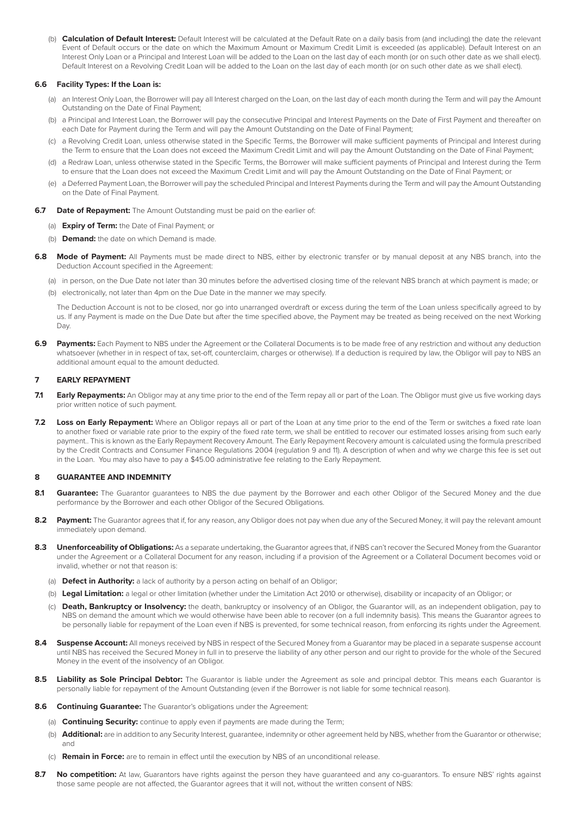(b) **Calculation of Default Interest:** Default Interest will be calculated at the Default Rate on a daily basis from (and including) the date the relevant Event of Default occurs or the date on which the Maximum Amount or Maximum Credit Limit is exceeded (as applicable). Default Interest on an Interest Only Loan or a Principal and Interest Loan will be added to the Loan on the last day of each month (or on such other date as we shall elect). Default Interest on a Revolving Credit Loan will be added to the Loan on the last day of each month (or on such other date as we shall elect).

#### **6.6 Facility Types: If the Loan is:**

- (a) an Interest Only Loan, the Borrower will pay all Interest charged on the Loan, on the last day of each month during the Term and will pay the Amount Outstanding on the Date of Final Payment;
- (b) a Principal and Interest Loan, the Borrower will pay the consecutive Principal and Interest Payments on the Date of First Payment and thereafter on each Date for Payment during the Term and will pay the Amount Outstanding on the Date of Final Payment;
- (c) a Revolving Credit Loan, unless otherwise stated in the Specific Terms, the Borrower will make sufficient payments of Principal and Interest during the Term to ensure that the Loan does not exceed the Maximum Credit Limit and will pay the Amount Outstanding on the Date of Final Payment;
- (d) a Redraw Loan, unless otherwise stated in the Specific Terms, the Borrower will make sufficient payments of Principal and Interest during the Term to ensure that the Loan does not exceed the Maximum Credit Limit and will pay the Amount Outstanding on the Date of Final Payment; or
- (e) a Deferred Payment Loan, the Borrower will pay the scheduled Principal and Interest Payments during the Term and will pay the Amount Outstanding on the Date of Final Payment.
- **6.7 Date of Repayment:** The Amount Outstanding must be paid on the earlier of:
	- (a) **Expiry of Term:** the Date of Final Payment; or
	- (b) **Demand:** the date on which Demand is made.
- **6.8 Mode of Payment:** All Payments must be made direct to NBS, either by electronic transfer or by manual deposit at any NBS branch, into the Deduction Account specified in the Agreement:
	- (a) in person, on the Due Date not later than 30 minutes before the advertised closing time of the relevant NBS branch at which payment is made; or
	- (b) electronically, not later than 4pm on the Due Date in the manner we may specify.

The Deduction Account is not to be closed, nor go into unarranged overdraft or excess during the term of the Loan unless specifically agreed to by us. If any Payment is made on the Due Date but after the time specified above, the Payment may be treated as being received on the next Working Day.

**6.9 Payments:** Each Payment to NBS under the Agreement or the Collateral Documents is to be made free of any restriction and without any deduction whatsoever (whether in in respect of tax, set-off, counterclaim, charges or otherwise). If a deduction is required by law, the Obligor will pay to NBS an additional amount equal to the amount deducted.

#### **7 EARLY REPAYMENT**

- **7.1 Early Repayments:** An Obligor may at any time prior to the end of the Term repay all or part of the Loan. The Obligor must give us five working days prior written notice of such payment.
- 7.2 Loss on Early Repayment: Where an Obligor repays all or part of the Loan at any time prior to the end of the Term or switches a fixed rate loan to another fixed or variable rate prior to the expiry of the fixed rate term, we shall be entitled to recover our estimated losses arising from such early payment.. This is known as the Early Repayment Recovery Amount. The Early Repayment Recovery amount is calculated using the formula prescribed by the Credit Contracts and Consumer Finance Regulations 2004 (regulation 9 and 11). A description of when and why we charge this fee is set out in the Loan. You may also have to pay a \$45.00 administrative fee relating to the Early Repayment.

#### **8 GUARANTEE AND INDEMNITY**

- 8.1 **Guarantee:** The Guarantor guarantees to NBS the due payment by the Borrower and each other Obligor of the Secured Money and the due performance by the Borrower and each other Obligor of the Secured Obligations.
- 8.2 Payment: The Guarantor agrees that if, for any reason, any Obligor does not pay when due any of the Secured Money, it will pay the relevant amount immediately upon demand.
- 8.3 **Unenforceability of Obligations:** As a separate undertaking, the Guarantor agrees that, if NBS can't recover the Secured Money from the Guarantor under the Agreement or a Collateral Document for any reason, including if a provision of the Agreement or a Collateral Document becomes void or invalid, whether or not that reason is:
	- (a) **Defect in Authority:** a lack of authority by a person acting on behalf of an Obligor;
	- (b) **Legal Limitation:** a legal or other limitation (whether under the Limitation Act 2010 or otherwise), disability or incapacity of an Obligor; or
	- (c) **Death, Bankruptcy or Insolvency:** the death, bankruptcy or insolvency of an Obligor, the Guarantor will, as an independent obligation, pay to NBS on demand the amount which we would otherwise have been able to recover (on a full indemnity basis). This means the Guarantor agrees to be personally liable for repayment of the Loan even if NBS is prevented, for some technical reason, from enforcing its rights under the Agreement.
- 8.4 **Suspense Account:** All moneys received by NBS in respect of the Secured Money from a Guarantor may be placed in a separate suspense account until NBS has received the Secured Money in full in to preserve the liability of any other person and our right to provide for the whole of the Secured Money in the event of the insolvency of an Obligor.
- **8.5 Liability as Sole Principal Debtor:** The Guarantor is liable under the Agreement as sole and principal debtor. This means each Guarantor is personally liable for repayment of the Amount Outstanding (even if the Borrower is not liable for some technical reason).
- **8.6 Continuing Guarantee:** The Guarantor's obligations under the Agreement:
	- (a) **Continuing Security:** continue to apply even if payments are made during the Term;
	- (b) **Additional:** are in addition to any Security Interest, guarantee, indemnity or other agreement held by NBS, whether from the Guarantor or otherwise; and
	- (c) **Remain in Force:** are to remain in effect until the execution by NBS of an unconditional release.
- **8.7 No competition:** At law, Guarantors have rights against the person they have guaranteed and any co-guarantors. To ensure NBS' rights against those same people are not affected, the Guarantor agrees that it will not, without the written consent of NBS: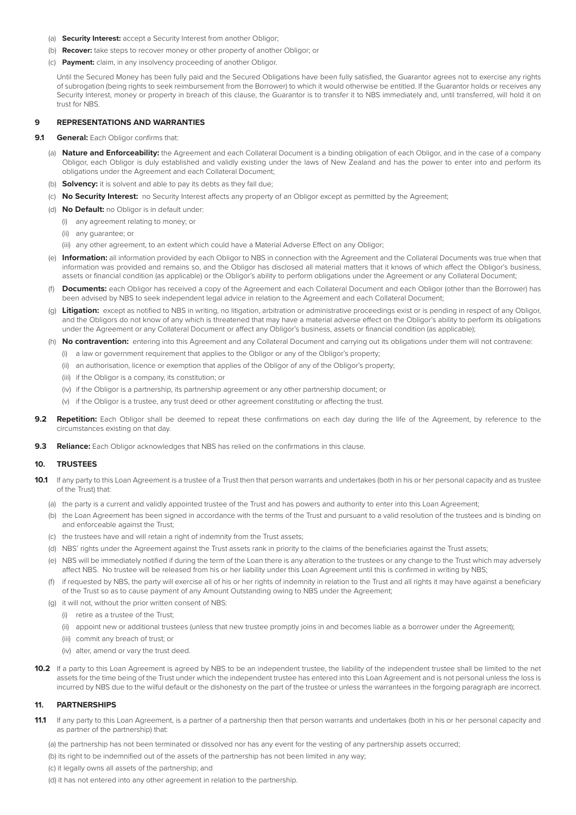- (a) **Security Interest:** accept a Security Interest from another Obligor;
- (b) **Recover:** take steps to recover money or other property of another Obligor; or
- (c) **Payment:** claim, in any insolvency proceeding of another Obligor.

Until the Secured Money has been fully paid and the Secured Obligations have been fully satisfied, the Guarantor agrees not to exercise any rights of subrogation (being rights to seek reimbursement from the Borrower) to which it would otherwise be entitled. If the Guarantor holds or receives any Security Interest, money or property in breach of this clause, the Guarantor is to transfer it to NBS immediately and, until transferred, will hold it on trust for NBS.

## **9 REPRESENTATIONS AND WARRANTIES**

**9.1 General:** Each Obligor confirms that:

- (a) **Nature and Enforceability:** the Agreement and each Collateral Document is a binding obligation of each Obligor, and in the case of a company Obligor, each Obligor is duly established and validly existing under the laws of New Zealand and has the power to enter into and perform its obligations under the Agreement and each Collateral Document;
- (b) **Solvency:** it is solvent and able to pay its debts as they fall due;
- (c) **No Security Interest:** no Security Interest affects any property of an Obligor except as permitted by the Agreement;
- (d) **No Default:** no Obligor is in default under:
	- (i) any agreement relating to money; or
	- (ii) any guarantee; or
	- (iii) any other agreement, to an extent which could have a Material Adverse Effect on any Obligor;
- (e) **Information:** all information provided by each Obligor to NBS in connection with the Agreement and the Collateral Documents was true when that information was provided and remains so, and the Obligor has disclosed all material matters that it knows of which affect the Obligor's business, assets or financial condition (as applicable) or the Obligor's ability to perform obligations under the Agreement or any Collateral Document;
- (f) **Documents:** each Obligor has received a copy of the Agreement and each Collateral Document and each Obligor (other than the Borrower) has been advised by NBS to seek independent legal advice in relation to the Agreement and each Collateral Document;
- (g) **Litigation:** except as notified to NBS in writing, no litigation, arbitration or administrative proceedings exist or is pending in respect of any Obligor, and the Obligors do not know of any which is threatened that may have a material adverse effect on the Obligor's ability to perform its obligations under the Agreement or any Collateral Document or affect any Obligor's business, assets or financial condition (as applicable);
- (h) **No contravention:** entering into this Agreement and any Collateral Document and carrying out its obligations under them will not contravene:
	- (i) a law or government requirement that applies to the Obligor or any of the Obligor's property;
	- (ii) an authorisation, licence or exemption that applies of the Obligor of any of the Obligor's property;
	- (iii) if the Obligor is a company, its constitution; or
	- (iv) if the Obligor is a partnership, its partnership agreement or any other partnership document; or
	- (v) if the Obligor is a trustee, any trust deed or other agreement constituting or affecting the trust.
- **9.2 Repetition:** Each Obligor shall be deemed to repeat these confirmations on each day during the life of the Agreement, by reference to the circumstances existing on that day.
- **9.3 Reliance:** Each Obligor acknowledges that NBS has relied on the confirmations in this clause.

## **10. TRUSTEES**

- **10.1** If any party to this Loan Agreement is a trustee of a Trust then that person warrants and undertakes (both in his or her personal capacity and as trustee of the Trust) that:
	- (a) the party is a current and validly appointed trustee of the Trust and has powers and authority to enter into this Loan Agreement;
	- (b) the Loan Agreement has been signed in accordance with the terms of the Trust and pursuant to a valid resolution of the trustees and is binding on and enforceable against the Trust;
	- (c) the trustees have and will retain a right of indemnity from the Trust assets;
	- (d) NBS' rights under the Agreement against the Trust assets rank in priority to the claims of the beneficiaries against the Trust assets;
	- (e) NBS will be immediately notified if during the term of the Loan there is any alteration to the trustees or any change to the Trust which may adversely affect NBS. No trustee will be released from his or her liability under this Loan Agreement until this is confirmed in writing by NBS;
	- (f) if requested by NBS, the party will exercise all of his or her rights of indemnity in relation to the Trust and all rights it may have against a beneficiary of the Trust so as to cause payment of any Amount Outstanding owing to NBS under the Agreement;
	- (a) it will not, without the prior written consent of NBS
		- (i) retire as a trustee of the Trust;
		- (ii) appoint new or additional trustees (unless that new trustee promptly joins in and becomes liable as a borrower under the Agreement);
		- (iii) commit any breach of trust; or
		- (iv) alter, amend or vary the trust deed.
- **10.2** If a party to this Loan Agreement is agreed by NBS to be an independent trustee, the liability of the independent trustee shall be limited to the net assets for the time being of the Trust under which the independent trustee has entered into this Loan Agreement and is not personal unless the loss is incurred by NBS due to the wilful default or the dishonesty on the part of the trustee or unless the warrantees in the forgoing paragraph are incorrect.

## **11. PARTNERSHIPS**

- **11.1** If any party to this Loan Agreement, is a partner of a partnership then that person warrants and undertakes (both in his or her personal capacity and as partner of the partnership) that:
	- (a) the partnership has not been terminated or dissolved nor has any event for the vesting of any partnership assets occurred;
	- (b) its right to be indemnified out of the assets of the partnership has not been limited in any way;
	- (c) it legally owns all assets of the partnership; and
	- (d) it has not entered into any other agreement in relation to the partnership.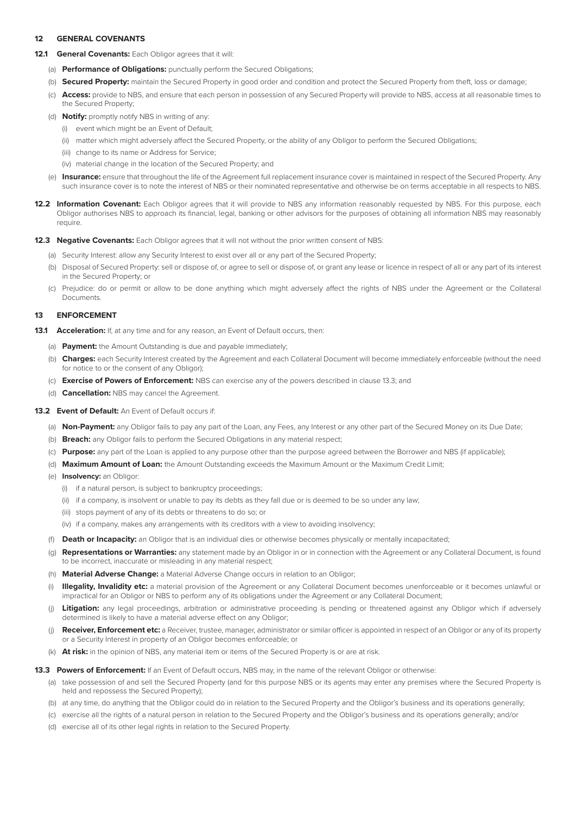# **12 GENERAL COVENANTS**

#### 12.1 **General Covenants:** Each Obligor agrees that it will:

- (a) **Performance of Obligations:** punctually perform the Secured Obligations;
- (b) **Secured Property:** maintain the Secured Property in good order and condition and protect the Secured Property from theft, loss or damage;
- (c) **Access:** provide to NBS, and ensure that each person in possession of any Secured Property will provide to NBS, access at all reasonable times to the Secured Property;
- (d) **Notify:** promptly notify NBS in writing of any:
	- (i) event which might be an Event of Default;
	- (ii) matter which might adversely affect the Secured Property, or the ability of any Obligor to perform the Secured Obligations;
	- (iii) change to its name or Address for Service;
	- (iv) material change in the location of the Secured Property; and
- (e) **Insurance:** ensure that throughout the life of the Agreement full replacement insurance cover is maintained in respect of the Secured Property. Any such insurance cover is to note the interest of NBS or their nominated representative and otherwise be on terms acceptable in all respects to NBS.
- 12.2 Information Covenant: Each Obligor agrees that it will provide to NBS any information reasonably requested by NBS. For this purpose, each Obligor authorises NBS to approach its financial, legal, banking or other advisors for the purposes of obtaining all information NBS may reasonably require
- **12.3 Negative Covenants:** Each Obligor agrees that it will not without the prior written consent of NBS:
	- (a) Security Interest: allow any Security Interest to exist over all or any part of the Secured Property;
	- (b) Disposal of Secured Property: sell or dispose of, or agree to sell or dispose of, or grant any lease or licence in respect of all or any part of its interest in the Secured Property; or
	- (c) Prejudice: do or permit or allow to be done anything which might adversely affect the rights of NBS under the Agreement or the Collateral **Documents**

## **13 ENFORCEMENT**

- **13.1 Acceleration:** If, at any time and for any reason, an Event of Default occurs, then:
	- (a) **Payment:** the Amount Outstanding is due and payable immediately;
	- (b) **Charges:** each Security Interest created by the Agreement and each Collateral Document will become immediately enforceable (without the need for notice to or the consent of any Obligor);
	- (c) **Exercise of Powers of Enforcement:** NBS can exercise any of the powers described in clause 13.3; and
	- (d) **Cancellation:** NBS may cancel the Agreement.

## **13.2 Event of Default:** An Event of Default occurs if:

- (a) **Non-Payment:** any Obligor fails to pay any part of the Loan, any Fees, any Interest or any other part of the Secured Money on its Due Date;
- (b) **Breach:** any Obligor fails to perform the Secured Obligations in any material respect;
- (c) **Purpose:** any part of the Loan is applied to any purpose other than the purpose agreed between the Borrower and NBS (if applicable);
- (d) **Maximum Amount of Loan:** the Amount Outstanding exceeds the Maximum Amount or the Maximum Credit Limit;
- (e) **Insolvency:** an Obligor:
	- (i) if a natural person, is subject to bankruptcy proceedings;
	- (ii) if a company, is insolvent or unable to pay its debts as they fall due or is deemed to be so under any law;
	- (iii) stops payment of any of its debts or threatens to do so; or
	- (iv) if a company, makes any arrangements with its creditors with a view to avoiding insolvency;
- (f) **Death or Incapacity:** an Obligor that is an individual dies or otherwise becomes physically or mentally incapacitated;
- (g) **Representations or Warranties:** any statement made by an Obligor in or in connection with the Agreement or any Collateral Document, is found to be incorrect, inaccurate or misleading in any material respect;
- (h) **Material Adverse Change:** a Material Adverse Change occurs in relation to an Obligor;
- (i) **Illegality, Invalidity etc:** a material provision of the Agreement or any Collateral Document becomes unenforceable or it becomes unlawful or impractical for an Obligor or NBS to perform any of its obligations under the Agreement or any Collateral Document;
- (j) Litigation: any legal proceedings, arbitration or administrative proceeding is pending or threatened against any Obligor which if adversely determined is likely to have a material adverse effect on any Obligor;
- (j) **Receiver, Enforcement etc:** a Receiver, trustee, manager, administrator or similar officer is appointed in respect of an Obligor or any of its property or a Security Interest in property of an Obligor becomes enforceable; or
- (k) **At risk:** in the opinion of NBS, any material item or items of the Secured Property is or are at risk.

#### **13.3 Powers of Enforcement:** If an Event of Default occurs, NBS may, in the name of the relevant Obligor or otherwise:

- (a) take possession of and sell the Secured Property (and for this purpose NBS or its agents may enter any premises where the Secured Property is held and repossess the Secured Property);
- (b) at any time, do anything that the Obligor could do in relation to the Secured Property and the Obligor's business and its operations generally;
- (c) exercise all the rights of a natural person in relation to the Secured Property and the Obligor's business and its operations generally; and/or
- (d) exercise all of its other legal rights in relation to the Secured Property.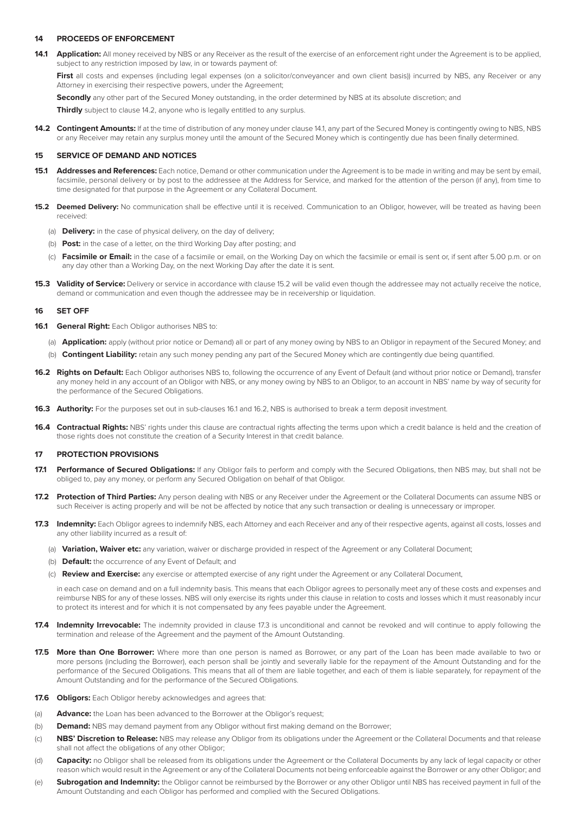## **14 PROCEEDS OF ENFORCEMENT**

**14.1 Application:** All money received by NBS or any Receiver as the result of the exercise of an enforcement right under the Agreement is to be applied, subject to any restriction imposed by law, in or towards payment of:

First all costs and expenses (including legal expenses (on a solicitor/conveyancer and own client basis)) incurred by NBS, any Receiver or any Attorney in exercising their respective powers, under the Agreement;

**Secondly** any other part of the Secured Money outstanding, in the order determined by NBS at its absolute discretion; and

**Thirdly** subject to clause 14.2, anyone who is legally entitled to any surplus.

**14.2 Contingent Amounts:** If at the time of distribution of any money under clause 14.1, any part of the Secured Money is contingently owing to NBS, NBS or any Receiver may retain any surplus money until the amount of the Secured Money which is contingently due has been finally determined.

## **15 SERVICE OF DEMAND AND NOTICES**

- **15.1 Addresses and References:** Each notice, Demand or other communication under the Agreement is to be made in writing and may be sent by email, facsimile, personal delivery or by post to the addressee at the Address for Service, and marked for the attention of the person (if any), from time to time designated for that purpose in the Agreement or any Collateral Document.
- **15.2 Deemed Delivery:** No communication shall be effective until it is received. Communication to an Obligor, however, will be treated as having been received:
	- (a) **Delivery:** in the case of physical delivery, on the day of delivery;
	- (b) **Post:** in the case of a letter, on the third Working Day after posting; and
	- (c) **Facsimile or Email:** in the case of a facsimile or email, on the Working Day on which the facsimile or email is sent or, if sent after 5.00 p.m. or on any day other than a Working Day, on the next Working Day after the date it is sent.
- **15.3 Validity of Service:** Delivery or service in accordance with clause 15.2 will be valid even though the addressee may not actually receive the notice, demand or communication and even though the addressee may be in receivership or liquidation.

#### **16 SET OFF**

- 16.1 **General Right:** Each Obligor authorises NBS to:
	- (a) **Application:** apply (without prior notice or Demand) all or part of any money owing by NBS to an Obligor in repayment of the Secured Money; and
	- (b) **Contingent Liability:** retain any such money pending any part of the Secured Money which are contingently due being quantified.
- **16.2 Rights on Default:** Each Obligor authorises NBS to, following the occurrence of any Event of Default (and without prior notice or Demand), transfer any money held in any account of an Obligor with NBS, or any money owing by NBS to an Obligor, to an account in NBS' name by way of security for the performance of the Secured Obligations.
- **16.3 Authority:** For the purposes set out in sub-clauses 16.1 and 16.2, NBS is authorised to break a term deposit investment.
- **16.4 Contractual Rights:** NBS' rights under this clause are contractual rights affecting the terms upon which a credit balance is held and the creation of those rights does not constitute the creation of a Security Interest in that credit balance.

#### **17 PROTECTION PROVISIONS**

- 17.1 Performance of Secured Obligations: If any Obligor fails to perform and comply with the Secured Obligations, then NBS may, but shall not be obliged to, pay any money, or perform any Secured Obligation on behalf of that Obligor.
- **17.2 Protection of Third Parties:** Any person dealing with NBS or any Receiver under the Agreement or the Collateral Documents can assume NBS or such Receiver is acting properly and will be not be affected by notice that any such transaction or dealing is unnecessary or improper.
- **17.3 Indemnity:** Each Obligor agrees to indemnify NBS, each Attorney and each Receiver and any of their respective agents, against all costs, losses and any other liability incurred as a result of:
	- (a) **Variation, Waiver etc:** any variation, waiver or discharge provided in respect of the Agreement or any Collateral Document;
	- (b) **Default:** the occurrence of any Event of Default; and
	- (c) **Review and Exercise:** any exercise or attempted exercise of any right under the Agreement or any Collateral Document,

in each case on demand and on a full indemnity basis. This means that each Obligor agrees to personally meet any of these costs and expenses and reimburse NBS for any of these losses. NBS will only exercise its rights under this clause in relation to costs and losses which it must reasonably incur to protect its interest and for which it is not compensated by any fees payable under the Agreement.

- **17.4 Indemnity Irrevocable:** The indemnity provided in clause 17.3 is unconditional and cannot be revoked and will continue to apply following the termination and release of the Agreement and the payment of the Amount Outstanding.
- **17.5 More than One Borrower:** Where more than one person is named as Borrower, or any part of the Loan has been made available to two or more persons (including the Borrower), each person shall be jointly and severally liable for the repayment of the Amount Outstanding and for the performance of the Secured Obligations. This means that all of them are liable together, and each of them is liable separately, for repayment of the Amount Outstanding and for the performance of the Secured Obligations.
- **17.6 Obligors:** Each Obligor hereby acknowledges and agrees that:
- (a) **Advance:** the Loan has been advanced to the Borrower at the Obligor's request;
- (b) **Demand:** NBS may demand payment from any Obligor without first making demand on the Borrower;
- (c) **NBS' Discretion to Release:** NBS may release any Obligor from its obligations under the Agreement or the Collateral Documents and that release shall not affect the obligations of any other Obligor;
- (d) **Capacity:** no Obligor shall be released from its obligations under the Agreement or the Collateral Documents by any lack of legal capacity or other reason which would result in the Agreement or any of the Collateral Documents not being enforceable against the Borrower or any other Obligor; and
- (e) **Subrogation and Indemnity:** the Obligor cannot be reimbursed by the Borrower or any other Obligor until NBS has received payment in full of the Amount Outstanding and each Obligor has performed and complied with the Secured Obligations.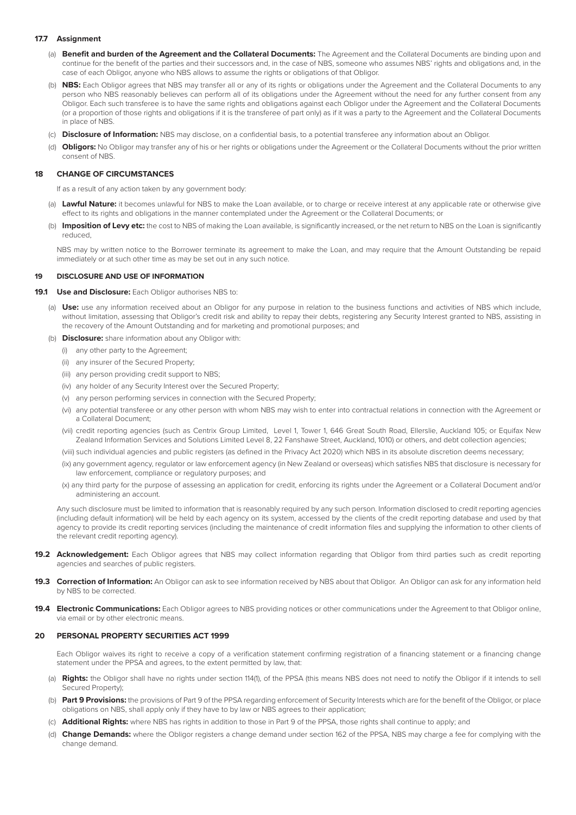## **17.7 Assignment**

- (a) **Benefit and burden of the Agreement and the Collateral Documents:** The Agreement and the Collateral Documents are binding upon and continue for the benefit of the parties and their successors and, in the case of NBS, someone who assumes NBS' rights and obligations and, in the case of each Obligor, anyone who NBS allows to assume the rights or obligations of that Obligor.
- (b) **NBS:** Each Obligor agrees that NBS may transfer all or any of its rights or obligations under the Agreement and the Collateral Documents to any person who NBS reasonably believes can perform all of its obligations under the Agreement without the need for any further consent from any Obligor. Each such transferee is to have the same rights and obligations against each Obligor under the Agreement and the Collateral Documents (or a proportion of those rights and obligations if it is the transferee of part only) as if it was a party to the Agreement and the Collateral Documents in place of NBS
- (c) **Disclosure of Information:** NBS may disclose, on a confidential basis, to a potential transferee any information about an Obligor.
- (d) **Obligors:** No Obligor may transfer any of his or her rights or obligations under the Agreement or the Collateral Documents without the prior written consent of NBS.

#### **18 CHANGE OF CIRCUMSTANCES**

If as a result of any action taken by any government body:

- (a) **Lawful Nature:** it becomes unlawful for NBS to make the Loan available, or to charge or receive interest at any applicable rate or otherwise give effect to its rights and obligations in the manner contemplated under the Agreement or the Collateral Documents; or
- (b) **Imposition of Levy etc:** the cost to NBS of making the Loan available, is significantly increased, or the net return to NBS on the Loan is significantly reduced,

NBS may by written notice to the Borrower terminate its agreement to make the Loan, and may require that the Amount Outstanding be repaid immediately or at such other time as may be set out in any such notice.

#### **19 DISCLOSURE AND USE OF INFORMATION**

## **19.1 Use and Disclosure:** Each Obligor authorises NBS to:

- (a) **Use:** use any information received about an Obligor for any purpose in relation to the business functions and activities of NBS which include, without limitation, assessing that Obligor's credit risk and ability to repay their debts, registering any Security Interest granted to NBS, assisting in the recovery of the Amount Outstanding and for marketing and promotional purposes; and
- (b) **Disclosure:** share information about any Obligor with:
	- (i) any other party to the Agreement;
	- (ii) any insurer of the Secured Property;
	- (iii) any person providing credit support to NBS;
	- (iv) any holder of any Security Interest over the Secured Property;
	- (v) any person performing services in connection with the Secured Property;
	- (vi) any potential transferee or any other person with whom NBS may wish to enter into contractual relations in connection with the Agreement or a Collateral Document;
	- (vii) credit reporting agencies (such as Centrix Group Limited, Level 1, Tower 1, 646 Great South Road, Ellerslie, Auckland 105; or Equifax New Zealand Information Services and Solutions Limited Level 8, 22 Fanshawe Street, Auckland, 1010) or others, and debt collection agencies;

(viii) such individual agencies and public registers (as defined in the Privacy Act 2020) which NBS in its absolute discretion deems necessary;

- (ix) any government agency, regulator or law enforcement agency (in New Zealand or overseas) which satisfies NBS that disclosure is necessary for law enforcement, compliance or regulatory purposes; and
- (x) any third party for the purpose of assessing an application for credit, enforcing its rights under the Agreement or a Collateral Document and/or administering an account.

Any such disclosure must be limited to information that is reasonably required by any such person. Information disclosed to credit reporting agencies (including default information) will be held by each agency on its system, accessed by the clients of the credit reporting database and used by that agency to provide its credit reporting services (including the maintenance of credit information files and supplying the information to other clients of the relevant credit reporting agency).

- **19.2 Acknowledgement:** Each Obligor agrees that NBS may collect information regarding that Obligor from third parties such as credit reporting agencies and searches of public registers.
- **19.3 Correction of Information:** An Obligor can ask to see information received by NBS about that Obligor. An Obligor can ask for any information held by NBS to be corrected.
- **19.4 Electronic Communications:** Each Obligor agrees to NBS providing notices or other communications under the Agreement to that Obligor online. via email or by other electronic means.

#### **20 PERSONAL PROPERTY SECURITIES ACT 1999**

Each Obligor waives its right to receive a copy of a verification statement confirming registration of a financing statement or a financing change statement under the PPSA and agrees, to the extent permitted by law, that:

- (a) **Rights:** the Obligor shall have no rights under section 114(1), of the PPSA (this means NBS does not need to notify the Obligor if it intends to sell Secured Property);
- (b) **Part 9 Provisions:** the provisions of Part 9 of the PPSA regarding enforcement of Security Interests which are for the benefit of the Obligor, or place obligations on NBS, shall apply only if they have to by law or NBS agrees to their application;
- (c) **Additional Rights:** where NBS has rights in addition to those in Part 9 of the PPSA, those rights shall continue to apply; and
- (d) **Change Demands:** where the Obligor registers a change demand under section 162 of the PPSA, NBS may charge a fee for complying with the change demand.